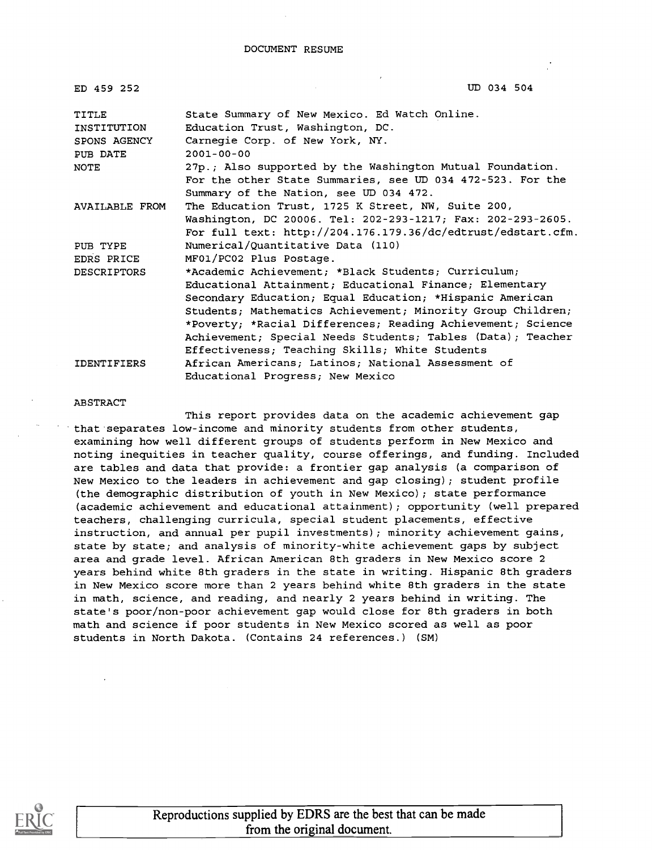| ED 459 252                  | UD 034 504                                                                        |
|-----------------------------|-----------------------------------------------------------------------------------|
| <b>TITLE</b><br>INSTITUTION | State Summary of New Mexico. Ed Watch Online.<br>Education Trust, Washington, DC. |
| SPONS AGENCY                | Carnegie Corp. of New York, NY.                                                   |
| PUB DATE                    | $2001 - 00 - 00$                                                                  |
| <b>NOTE</b>                 | 27p.; Also supported by the Washington Mutual Foundation.                         |
|                             | For the other State Summaries, see UD 034 472-523. For the                        |
|                             | Summary of the Nation, see UD 034 472.                                            |
| AVAILABLE FROM              | The Education Trust, 1725 K Street, NW, Suite 200,                                |
|                             | Washington, DC 20006. Tel: 202-293-1217; Fax: 202-293-2605.                       |
|                             | For full text: http://204.176.179.36/dc/edtrust/edstart.cfm.                      |
| PUB TYPE                    | Numerical/Quantitative Data (110)                                                 |
| EDRS PRICE                  | MF01/PC02 Plus Postage.                                                           |
| <b>DESCRIPTORS</b>          | *Academic Achievement; *Black Students; Curriculum;                               |
|                             | Educational Attainment; Educational Finance; Elementary                           |
|                             | Secondary Education; Equal Education; *Hispanic American                          |
|                             | Students; Mathematics Achievement; Minority Group Children;                       |
|                             | *Poverty; *Racial Differences; Reading Achievement; Science                       |
|                             | Achievement; Special Needs Students; Tables (Data); Teacher                       |
|                             | Effectiveness; Teaching Skills; White Students                                    |
| <b>IDENTIFIERS</b>          | African Americans; Latinos; National Assessment of                                |
|                             | Educational Progress; New Mexico                                                  |

#### ABSTRACT

This report provides data on the academic achievement gap that separates low-income and minority students from other students, examining how well different groups of students perform in New Mexico and noting inequities in teacher quality, course offerings, and funding. Included are tables and data that provide: a frontier gap analysis (a comparison of New Mexico to the leaders in achievement and gap closing); student profile (the demographic distribution of youth in New Mexico); state performance (academic achievement and educational attainment); opportunity (well prepared teachers, challenging curricula, special student placements, effective instruction, and annual per pupil investments); minority achievement gains, state by state; and analysis of minority-white achievement gaps by subject area and grade level. African American 8th graders in New Mexico score 2 years behind white 8th graders in the state in writing. Hispanic 8th graders in New Mexico score more than 2 years behind white 8th graders in the state in math, science, and reading, and nearly 2 years behind in writing. The state's poor/non-poor achievement gap would close for 8th graders in both math and science if poor students in New Mexico scored as well as poor students in North Dakota. (Contains 24 references.) (SM)

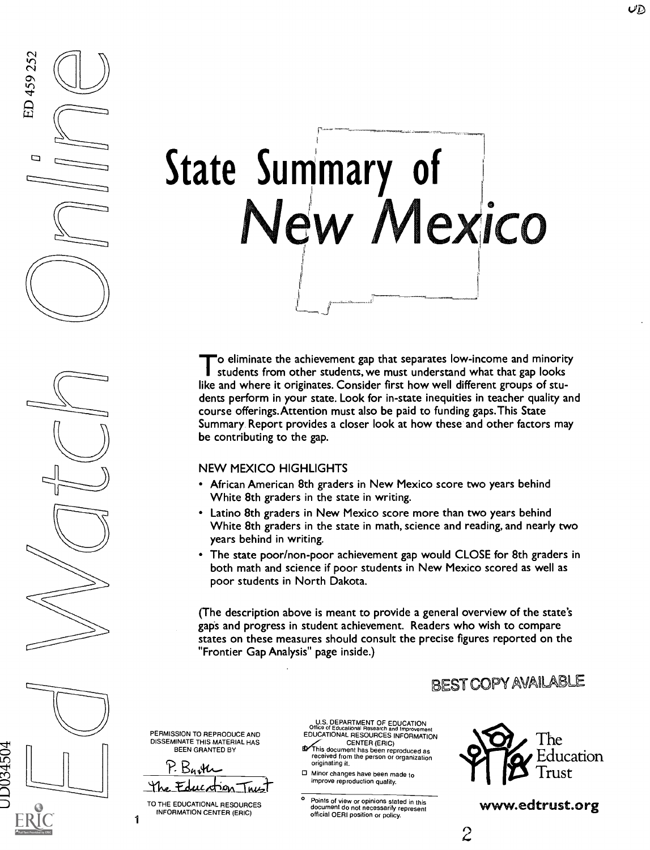

To eliminate the achievement gap that separates low-income and minority<br>students from other students, we must understand what that gap looks o eliminate the achievement gap that separates low-income and minority like and where it originates. Consider first how well different groups of students perform in your state. Look for in-state inequities in teacher quality and course offerings.Attention must also be paid to funding gaps.This State Summary Report provides a closer look at how these and other factors may be contributing to the gap.

### NEW MEXICO HIGHLIGHTS

- African American 8th graders in New Mexico score two years behind White 8th graders in the state in writing.
- Latino 8th graders in New Mexico score more than two years behind White 8th graders in the state in math, science and reading, and nearly two years behind in writing.
- The state poor/non-poor achievement gap would CLOSE for 8th graders in both math and science if poor students in New Mexico scored as well as poor students in North Dakota.

(The description above is meant to provide a general overview of the state's gaps and progress in student achievement. Readers who wish to compare states on these measures should consult the precise figures reported on the "Frontier Gap Analysis" page inside.)

### BEST COPYAMIABLE



Ezi

ED 459 252

PERMISSION TO REPRODUCE AND DISSEMINATE THIS MATERIAL HAS BEEN GRANTED BY

P. Barth The Education Trust =

TO THE EDUCATIONAL RESOURCES INFORMATION CENTER (ERIC)

1

U.S. DEPARTMENT OF EDUCATION Office of Educational Research and Improvement<br>EDUCATIONAL RESOURCES INFORMATION

- CENTER (ERIC)<br>This document has been reproduced as<br>received from the person or organization<br>originating it.
- 0 Minor changes have been made to improve reproduction quality.

° Points of view or opinions stated in this document do not necessarily represent official OERI position or policy.



www.edtrust.org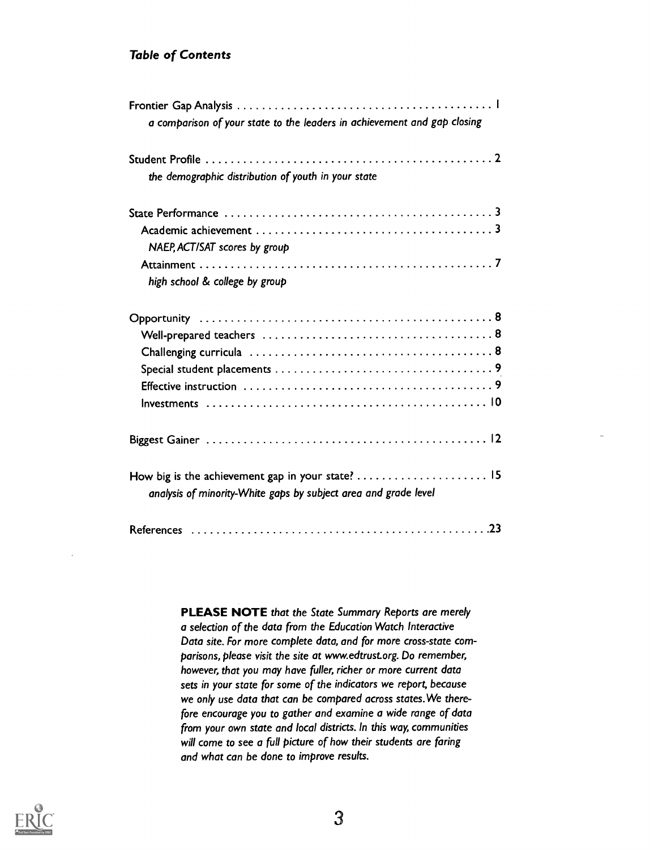### Table of Contents

| a comparison of your state to the leaders in achievement and gap closing |
|--------------------------------------------------------------------------|
|                                                                          |
| the demographic distribution of youth in your state                      |
|                                                                          |
| NAEP, ACT/SAT scores by group                                            |
|                                                                          |
| high school & college by group                                           |
|                                                                          |
|                                                                          |
|                                                                          |
|                                                                          |
|                                                                          |
|                                                                          |
|                                                                          |
|                                                                          |
| analysis of minority-White gaps by subject area and grade level          |
|                                                                          |

PLEASE NOTE that the State Summary Reports are merely a selection of the data from the Education Watch Interactive Data site. For more complete data, and for more cross-state comparisons, please visit the site at www.edtrust.org. Do remember, however, that you may have fuller, richer or more current data sets in your state for some of the indicators we report, because we only use data that can be compared across states.We therefore encourage you to gather and examine a wide range of data from your own state and local districts. In this way, communities will come to see a full picture of how their students are faring and what can be done to improve results.

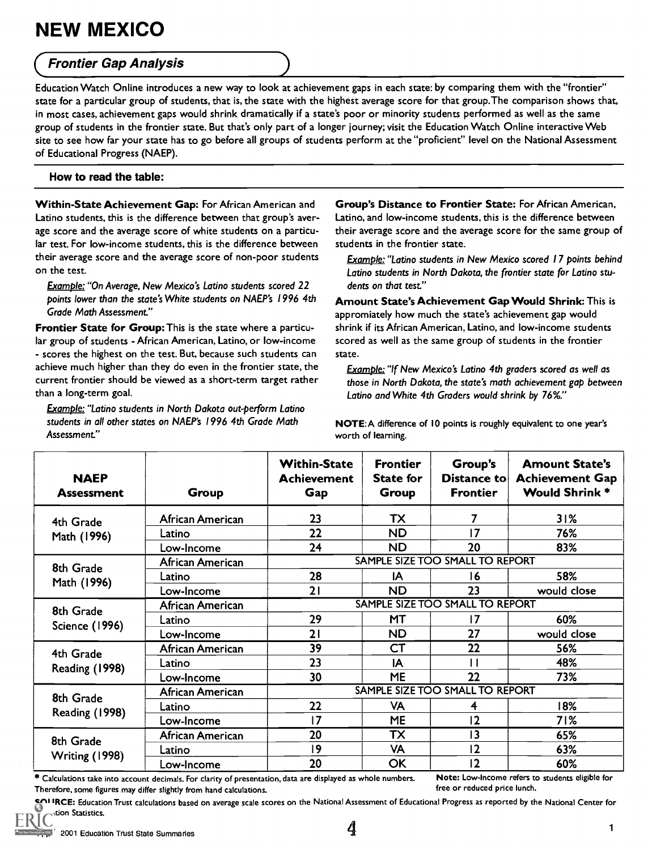### **Frontier Gap Analysis**

Education Watch Online introduces a new way to look at achievement gaps in each state: by comparing them with the "frontier" state for a particular group of students, that is, the state with the highest average score for that group.The comparison shows that, in most cases, achievement gaps would shrink dramatically if a state's poor or minority students performed as well as the same group of students in the frontier state. But that's only part of a longer journey; visit the Education Watch Online interactive Web site to see how far your state has to go before all groups of students perform at the "proficient" level on the National Assessment of Educational Progress (NAEP).

### How to read the table:

Within-State Achievement Gap: For African American and Latino students, this is the difference between that group's average score and the average score of white students on a particular test. For low-income students, this is the difference between their average score and the average score of non-poor students on the test.

Example:"On Average, New Mexico's Latino students scored 22 points lower than the state's White students on NAEP's 1996 4th Grade Math Assessment."

Frontier State for Group: This is the state where a particular group of students - African American, Latino, or low-income - scores the highest on the test. But, because such students can achieve much higher than they do even in the frontier state, the current frontier should be viewed as a short-term target rather than a long-term goal.

Example: "Latino students in North Dakota out-perform Latino students in all other states on NAEP's 1996 4th Grade Math Assessment"

Group's Distance to Frontier State: For African American, Latino, and low-income students, this is the difference between their average score and the average score for the same group of students in the frontier state.

Example: "Latino students in New Mexico scored 17 points behind Latino students in North Dakota, the frontier state for Latino students on that test"

Amount State's Achievement Gap Would Shrink:This is appromiately how much the state's achievement gap would shrink if its African American, Latino, and low-income students scored as well as the same group of students in the frontier state.

Example: "If New Mexico's Latino 4th graders scored as well as those in North Dakota, the state's math achievement gap between Latino and White 4th Graders would shrink by 76%."

NOTE:A difference of 10 points is roughly equivalent to one year's worth of learning.

| <b>NAEP</b><br><b>Assessment</b>   | Group            | <b>Within-State</b><br><b>Achievement</b><br>Gap | <b>Frontier</b><br><b>State for</b><br>Group | Group's<br>Distance to<br><b>Frontier</b> | <b>Amount State's</b><br><b>Achievement Gap</b><br><b>Would Shrink*</b> |  |  |
|------------------------------------|------------------|--------------------------------------------------|----------------------------------------------|-------------------------------------------|-------------------------------------------------------------------------|--|--|
| 4th Grade<br>Math (1996)           | African American | 23                                               | TX                                           | 7                                         | 31%                                                                     |  |  |
|                                    | Latino           | 22                                               | <b>ND</b>                                    | 17                                        | 76%                                                                     |  |  |
|                                    | Low-Income       | 24                                               | <b>ND</b>                                    | 20                                        | 83%                                                                     |  |  |
| 8th Grade                          | African American |                                                  |                                              | SAMPLE SIZE TOO SMALL TO REPORT           |                                                                         |  |  |
| Math (1996)                        | Latino           | 28                                               | ΙA                                           | 16                                        | 58%                                                                     |  |  |
|                                    | Low-Income       | 21                                               | ND                                           | 23                                        | would close                                                             |  |  |
| 8th Grade<br><b>Science (1996)</b> | African American | SAMPLE SIZE TOO SMALL TO REPORT                  |                                              |                                           |                                                                         |  |  |
|                                    | Latino           | 29                                               | МT                                           | 17                                        | 60%                                                                     |  |  |
|                                    | Low-Income       | 21                                               | <b>ND</b>                                    | 27                                        | would close                                                             |  |  |
| 4th Grade                          | African American | 39                                               | <b>CT</b>                                    | 22                                        | 56%                                                                     |  |  |
| Reading (1998)                     | Latino           | 23                                               | IA                                           | П                                         | 48%                                                                     |  |  |
|                                    | Low-Income       | 30                                               | <b>ME</b>                                    | 22                                        | 73%                                                                     |  |  |
| 8th Grade                          | African American |                                                  |                                              | SAMPLE SIZE TOO SMALL TO REPORT           |                                                                         |  |  |
|                                    | Latino           | 22                                               | <b>VA</b>                                    | 4                                         | 18%                                                                     |  |  |
| <b>Reading (1998)</b>              | Low-Income       | 17                                               | <b>ME</b>                                    | 12                                        | 71%                                                                     |  |  |
| 8th Grade                          | African American | 20                                               | $\overline{\mathsf{TX}}$                     | $\overline{13}$                           | 65%                                                                     |  |  |
|                                    | Latino           | 9                                                | <b>VA</b>                                    | 12                                        | 63%                                                                     |  |  |
| Writing (1998)                     | Low-Income       | 20                                               | ОК                                           | 12                                        | 60%                                                                     |  |  |

\* Calculations take into account decimals. For clarity of presentation, data are displayed as whole numbers. Note: Low-Income refers to students eligible for<br>Therefore, some figures may differ slightly from hand calculatio Therefore, some figures may differ slightly from hand calculations.

SOURCE: Education Trust calculations based on average scale scores on the National Assessment of Educational Progress as reported by the National Center for tion Statistics.

by ERIC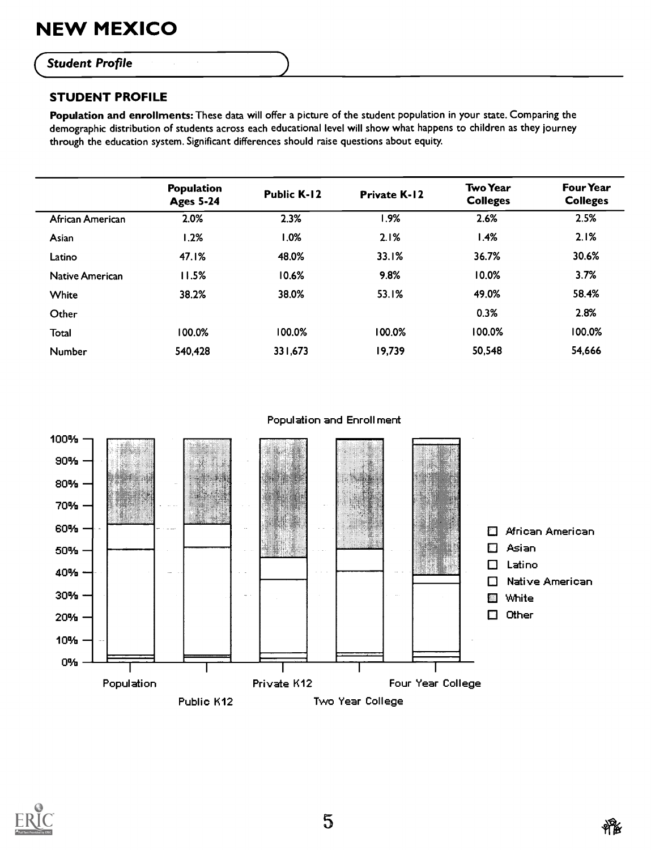### **Student Profile**

### STUDENT PROFILE

Population and enrollments: These data will offer a picture of the student population in your state. Comparing the demographic distribution of students across each educational level will show what happens to children as they journey through the education system. Significant differences should raise questions about equity.

|                        | Population<br><b>Ages 5-24</b> | <b>Public K-12</b> | <b>Private K-12</b> | <b>Two Year</b><br><b>Colleges</b> | <b>Four Year</b><br><b>Colleges</b> |
|------------------------|--------------------------------|--------------------|---------------------|------------------------------------|-------------------------------------|
| African American       | 2.0%                           | 2.3%               | 1.9%                | 2.6%                               | 2.5%                                |
| Asian                  | 1.2%                           | 1.0%               | 2.1%                | 1.4%                               | 2.1%                                |
| Latino                 | 47.1%                          | 48.0%              | 33.1%               | 36.7%                              | 30.6%                               |
| <b>Native American</b> | 11.5%                          | 10.6%              | 9.8%                | 10.0%                              | 3.7%                                |
| White                  | 38.2%                          | 38.0%              | 53.1%               | 49.0%                              | 58.4%                               |
| Other                  |                                |                    |                     | 0.3%                               | 2.8%                                |
| Total                  | 100.0%                         | 100.0%             | 100.0%              | 100.0%                             | 100.0%                              |
| Number                 | 540,428                        | 331,673            | 19,739              | 50,548                             | 54,666                              |
|                        |                                |                    |                     |                                    |                                     |



### Population and Enrollment

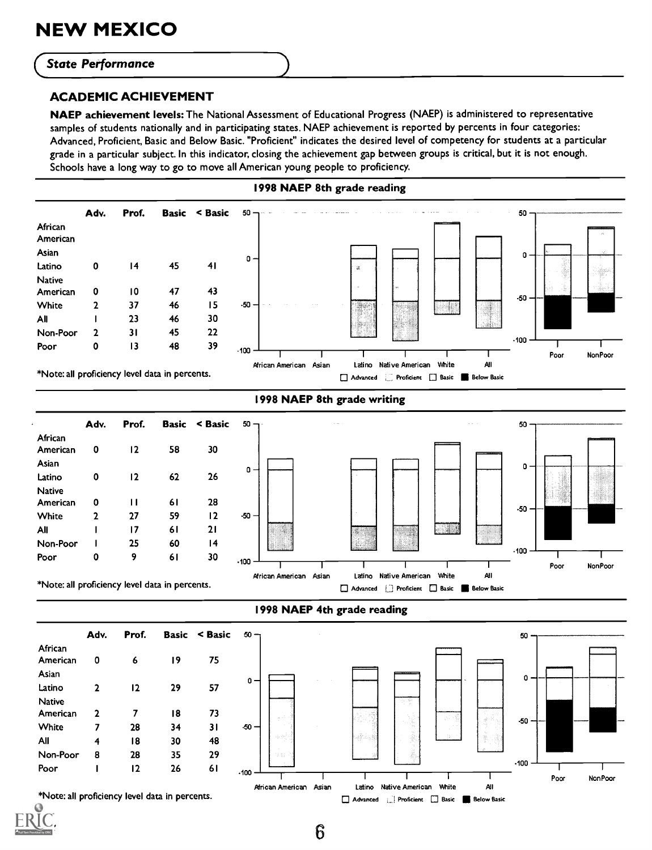### **State Performance**

### ACADEMIC ACHIEVEMENT

NAEP achievement levels: The National Assessment of Educational Progress (NAEP) is administered to representative samples of students nationally and in participating states. NAEP achievement is reported by percents in four categories: Advanced, Proficient, Basic and Below Basic. "Proficient" indicates the desired level of competency for students at a particular grade in a particular subject. In this indicator, closing the achievement gap between groups is critical, but it is not enough. Schools have a long way to go to move all American young people to proficiency.

### 1998 NAEP 8th grade reading



1998 NAEP 8th grade writing

\*Note: all proficiency level data in percents.



\*Note: all proficiency level data in percents.





6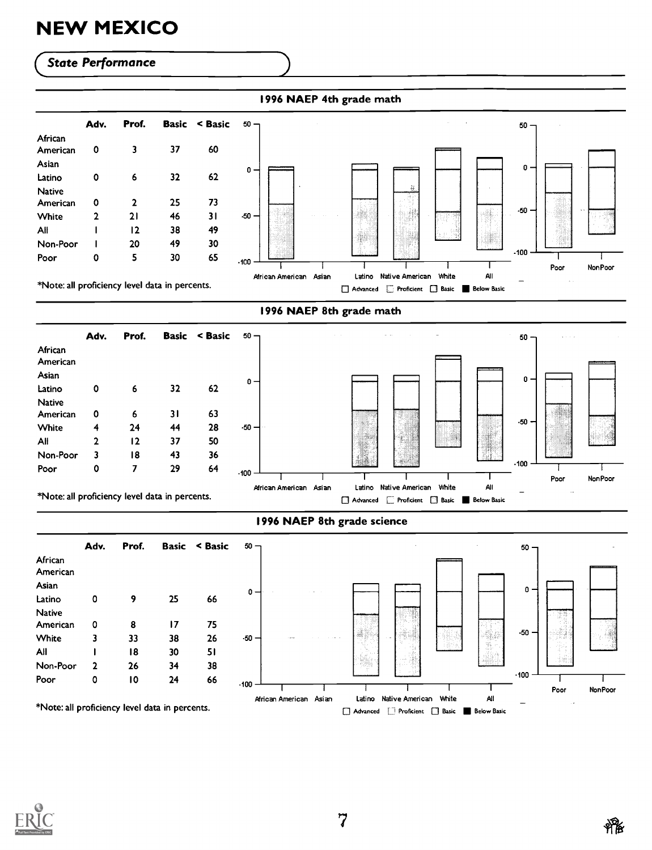### **State Performance**

| African       |   |    |    |    |         |   |   |  |         |  |
|---------------|---|----|----|----|---------|---|---|--|---------|--|
| American      |   |    |    |    |         |   |   |  |         |  |
|               | 0 | 3  | 37 | 60 |         |   |   |  |         |  |
| Asian         |   |    |    |    |         |   |   |  | $0 -$   |  |
| Latino        | 0 | 6  | 32 | 62 | $0 -$   |   |   |  |         |  |
| <b>Native</b> |   |    |    |    |         |   | 蒜 |  |         |  |
| American      | 0 |    | 25 | 73 |         |   |   |  |         |  |
| White         | 2 | 21 | 46 | 31 | $-50 -$ |   |   |  | $-50 -$ |  |
| All           |   | 12 | 38 | 49 |         |   |   |  |         |  |
| Non-Poor      |   | 20 | 49 | 30 |         | X |   |  |         |  |
| Poor          | 0 | 5  | 30 | 65 | $-100$  |   |   |  | $-100$  |  |

### 1996 NAEP 8th grade math

|                     | Adv. | Prof. |    | <b>Basic &lt; Basic</b> | 50    |
|---------------------|------|-------|----|-------------------------|-------|
| African<br>American |      |       |    |                         |       |
| Asian               |      |       |    |                         |       |
| Latino              | 0    | 6     | 32 | 62                      | 0     |
| <b>Native</b>       |      |       |    |                         |       |
| American            | ٥    | 6     | 31 | 63                      |       |
| <b>White</b>        | 4    | 24    | 44 | 28                      | $-50$ |
| A⊪                  | 2    | 12    | 37 | 50                      |       |
| Non-Poor            | 3    | 18    | 43 | 36                      |       |
| Poor                | ٥    |       | 29 | 64                      | .400  |



\*Note: all proficiency level data in percents.



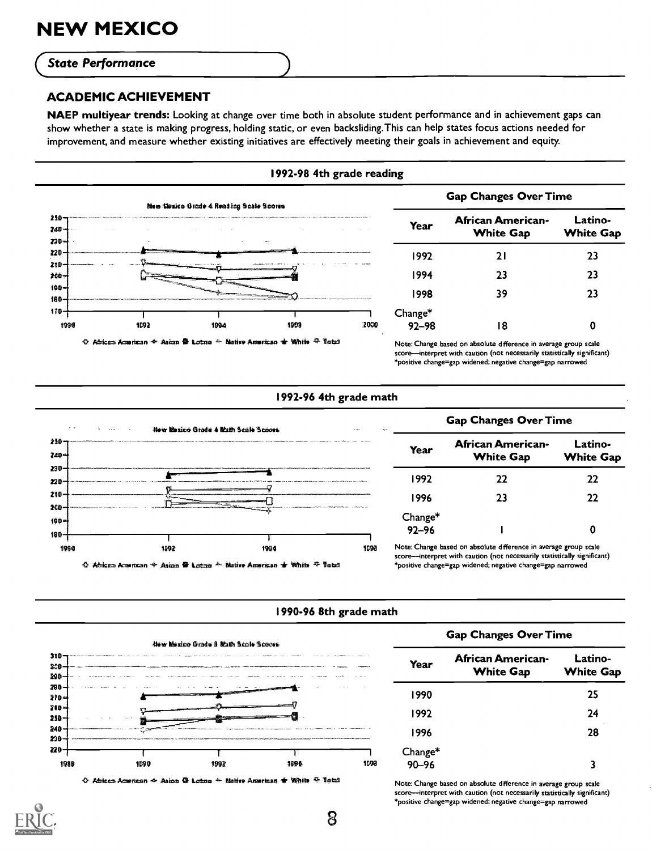### **State Performance**

### ACADEMIC ACHIEVEMENT

NAEP multiyear trends: Looking at change over time both in absolute student performance and in achievement gaps can show whether a state is making progress, holding static, or even backsliding.This can help states focus actions needed for improvement, and measure whether existing initiatives are effectively meeting their goals in achievement and equity.



### 1992-96 4th grade math



## African American-White Gap Latino-Year American American<br>White Gap White Gap 1996 23 22

Note:Change based on absolute difference in average group scale score-interpret with caution (not necessarily statistically significant) \*positive change=gap widened; negative change=gap narrowed

### 1990-96 8th grade math



 $\Diamond$  African American  $\triangleq$  Asion  $\Phi$  Lertno  $\triangleq$  Malise Aracican  $\blacktriangleright$  While  $\Phi$  Hotal

### Gap Changes Over Time

| Year                 | African American-<br><b>White Gap</b> | Latino-<br><b>White Gap</b> |  |
|----------------------|---------------------------------------|-----------------------------|--|
| 1990                 |                                       | 25                          |  |
| 1992                 |                                       | 24                          |  |
| 1996                 |                                       | 28                          |  |
| Change*<br>$90 - 96$ |                                       | ٦                           |  |

Note: Change based on absolute difference in average group scale score-interpret with caution (not necessarily statistically significant) \*positive change=gap widened; negative change=gap narrowed

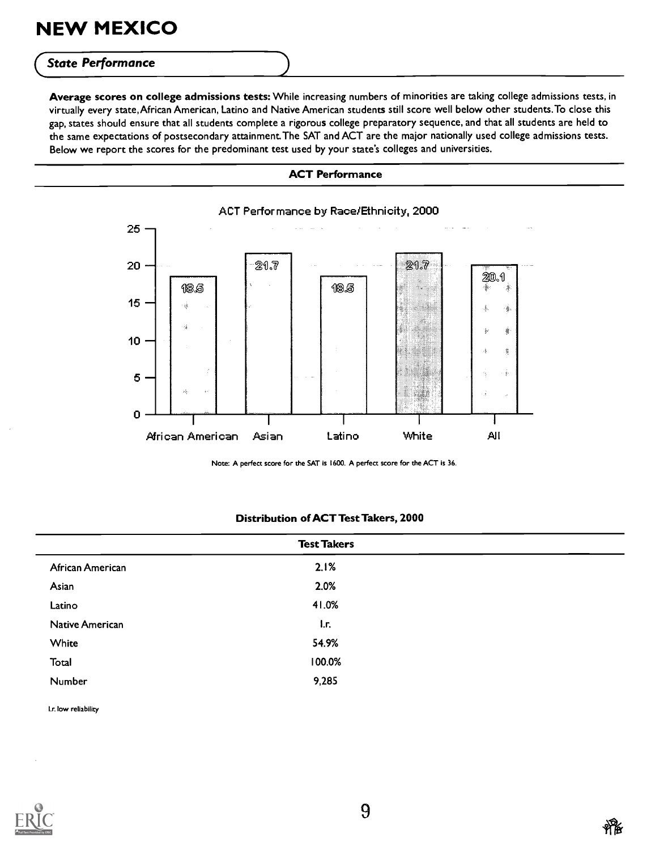### **State Performance**

Average scores on college admissions tests: While increasing numbers of minorities are taking college admissions tests, in virtually every state,African American, Latino and Native American students still score well below other students.To close this gap, states should ensure that all students complete a rigorous college preparatory sequence, and that all students are held to the same expectations of postsecondary attainment.The SAT and ACT are the major nationally used college admissions tests. Below we report the scores for the predominant test used by your state's colleges and universities.

### ACT Performance



Note: A perfect score for the SAT is 1600. A perfect score for the ACT is 36.

### Distribution of ACT Test Takers, 2000

| 2.1%<br>2.0%<br>41.0% |
|-----------------------|
|                       |
|                       |
|                       |
| I.r.                  |
| 54.9%                 |
| 100.0%                |
| 9,285                 |
|                       |

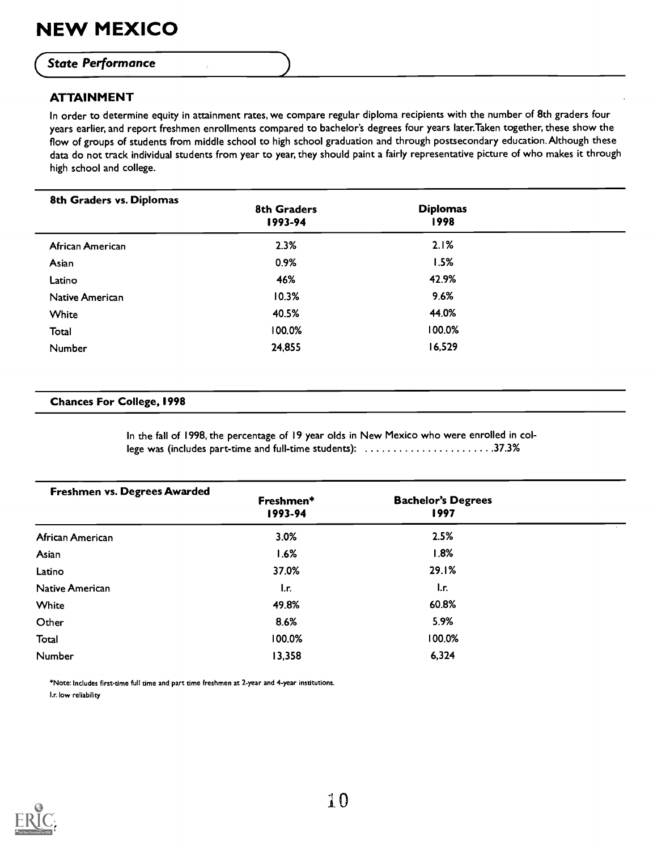### **State Performance**

### ATTAINMENT

In order to determine equity in attainment rates, we compare regular diploma recipients with the number of 8th graders four years earlier, and report freshmen enrollments compared to bachelor's degrees four years later.Taken together, these show the flow of groups of students from middle school to high school graduation and through postsecondary education.Although these data do not track individual students from year to year, they should paint a fairly representative picture of who makes it through high school and college.

| 8th Graders vs. Diplomas | <b>8th Graders</b><br>1993-94 | <b>Diplomas</b><br>1998 |  |
|--------------------------|-------------------------------|-------------------------|--|
| African American         | 2.3%                          | 2.1%                    |  |
| Asian                    | 0.9%                          | 1.5%                    |  |
| Latino                   | 46%                           | 42.9%                   |  |
| Native American          | 10.3%                         | 9.6%                    |  |
| White                    | 40.5%                         | 44.0%                   |  |
| Total                    | 100.0%                        | 100.0%                  |  |
| Number                   | 24,855                        | 16,529                  |  |

### Chances For College, 1998

In the fall of 1998, the percentage of 19 year olds in New Mexico who were enrolled in college was (includes part-time and full-time students): ...........................37.3%

| Freshmen vs. Degrees Awarded | Freshmen*<br>1993-94 | <b>Bachelor's Degrees</b><br>1997 |  |
|------------------------------|----------------------|-----------------------------------|--|
| African American             | 3.0%                 | 2.5%                              |  |
| Asian                        | 1.6%                 | 1.8%                              |  |
| Latino                       | 37.0%                | 29.1%                             |  |
| Native American              | l.r.                 | $\mathsf{L}$ r.                   |  |
| White                        | 49.8%                | 60.8%                             |  |
| Other                        | 8.6%                 | 5.9%                              |  |
| Total                        | 100.0%               | 100.0%                            |  |
| Number                       | 13,358               | 6,324                             |  |

\*Note:Includes first-time full time and part time freshmen at 2-year and 4-year institutions. Ir. low reliability

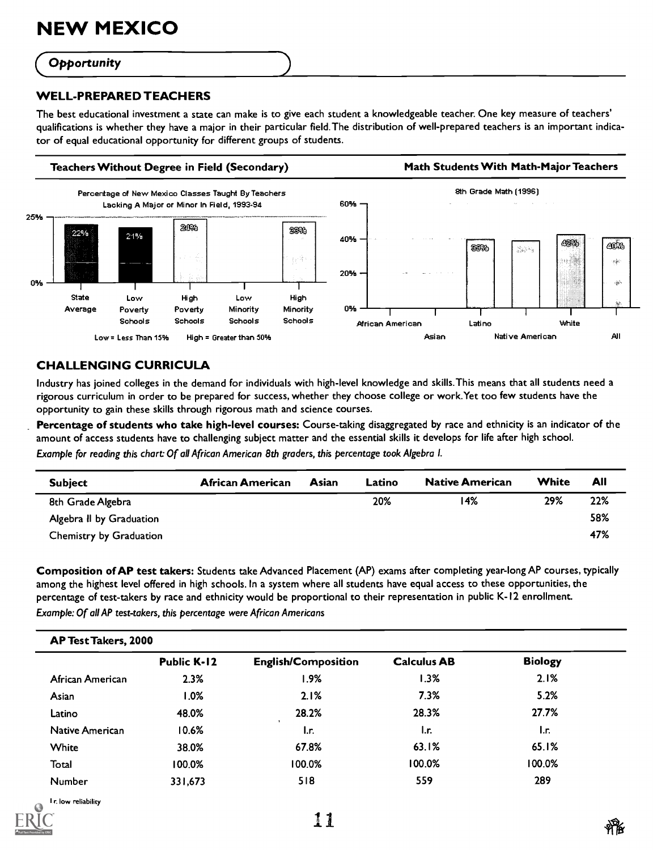### **Opportunity**

### WELL-PREPARED TEACHERS

The best educational investment a state can make is to give each student a knowledgeable teacher. One key measure of teachers' qualifications is whether they have a major in their particular field.The distribution of well-prepared teachers is an important indicator of equal educational opportunity for different groups of students.



### CHALLENGING CURRICULA

Industry has joined colleges in the demand for individuals with high-level knowledge and skills.This means that all students need a rigorous curriculum in order to be prepared for success, whether they choose college or work.Yet too few students have the opportunity to gain these skills through rigorous math and science courses.

Percentage of students who take high-level courses: Course-taking disaggregated by race and ethnicity is an indicator of the amount of access students have to challenging subject matter and the essential skills it develops for life after high school.

Example for reading this chart: Of all African American 8th graders, this percentage took Algebra I.

| <b>Subject</b>           | African American | Asian | Latino | <b>Native American</b> | White | All |
|--------------------------|------------------|-------|--------|------------------------|-------|-----|
| 8th Grade Algebra        |                  |       | 20%    | 14%                    | 29%   | 22% |
| Algebra II by Graduation |                  |       |        |                        |       | 58% |
| Chemistry by Graduation  |                  |       |        |                        |       | 47% |
|                          |                  |       |        |                        |       |     |

Composition of AP test takers: Students take Advanced Placement (AP) exams after completing year-long AP courses, typically among the highest level offered in high schools. In a system where all students have equal access to these opportunities, the percentage of test-takers by race and ethnicity would be proportional to their representation in public K-I2 enrollment. Example: Of all AP test-takers, this percentage were African Americans

| <b>AP Test Takers, 2000</b> |                    |                            |                    |                |  |  |  |
|-----------------------------|--------------------|----------------------------|--------------------|----------------|--|--|--|
|                             | <b>Public K-12</b> | <b>English/Composition</b> | <b>Calculus AB</b> | <b>Biology</b> |  |  |  |
| African American            | 2.3%               | 1.9%                       | 1.3%               | 2.1%           |  |  |  |
| Asian                       | $.0\%$             | 2.1%                       | 7.3%               | 5.2%           |  |  |  |
| Latino                      | 48.0%              | 28.2%                      | 28.3%              | 27.7%          |  |  |  |
| Native American             | 10.6%              | l.r.                       | I.r.               | l.r.           |  |  |  |
| White                       | 38.0%              | 67.8%                      | 63.1%              | 65.1%          |  |  |  |
| Total                       | 100.0%             | 100.0%                     | 100.0%             | 100.0%         |  |  |  |
| Number                      | 331,673            | 518                        | 559                | 289            |  |  |  |

l.r. low reliability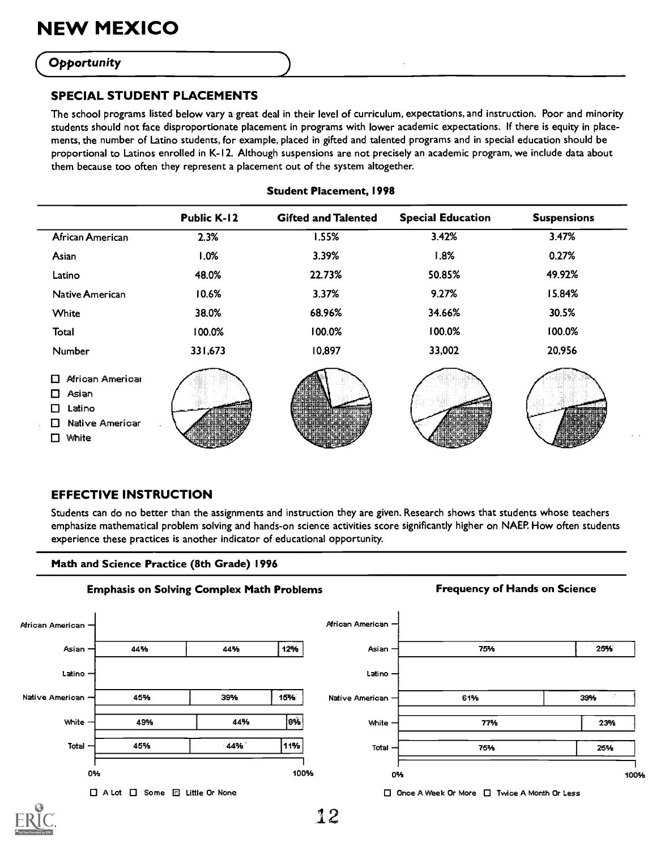### **Opportunity**

### SPECIAL STUDENT PLACEMENTS

The school programs listed below vary a great deal in their level of curriculum, expectations, and instruction. Poor and minority students should not face disproportionate placement in programs with lower academic expectations. If there is equity in placements, the number of Latino students, for example, placed in gifted and talented programs and in special education should be proportional to Latinos enrolled in K-12. Although suspensions are not precisely an academic program, we include data about them because too often they represent a placement out of the system altogether.

|                                                                                           | <b>Public K-12</b> | <b>Gifted and Talented</b> | <b>Special Education</b> | <b>Suspensions</b> |
|-------------------------------------------------------------------------------------------|--------------------|----------------------------|--------------------------|--------------------|
| African American                                                                          | 2.3%               | 1.55%                      | 3.42%                    | 3.47%              |
| Asian                                                                                     | 1.0%               | 3.39%                      | 1.8%                     | 0.27%              |
| Latino                                                                                    | 48.0%              | 22.73%                     | 50.85%                   | 49.92%             |
| Native American                                                                           | 10.6%              | 3.37%                      | 9.27%                    | 15.84%             |
| White                                                                                     | 38.0%              | 68.96%                     | 34.66%                   | 30.5%              |
| Total                                                                                     | 100.0%             | 100.0%                     | 100.0%                   | 100.0%             |
| Number                                                                                    | 331,673            | 10,897                     | 33,002                   | 20,956             |
| African Americal<br>Ð<br>Asian<br>O<br>Latino<br>П<br>Native Americar<br>ЫI<br>White<br>П |                    |                            |                          |                    |

### Student Placement, 1998

### EFFECTIVE INSTRUCTION

Students can do no better than the assignments and instruction they are given. Research shows that students whose teachers emphasize mathematical problem solving and hands-on science activities score significantly higher on NAEP. How often students experience these practices is another indicator of educational opportunity.

### Math and Science Practice (8th Grade) 1996



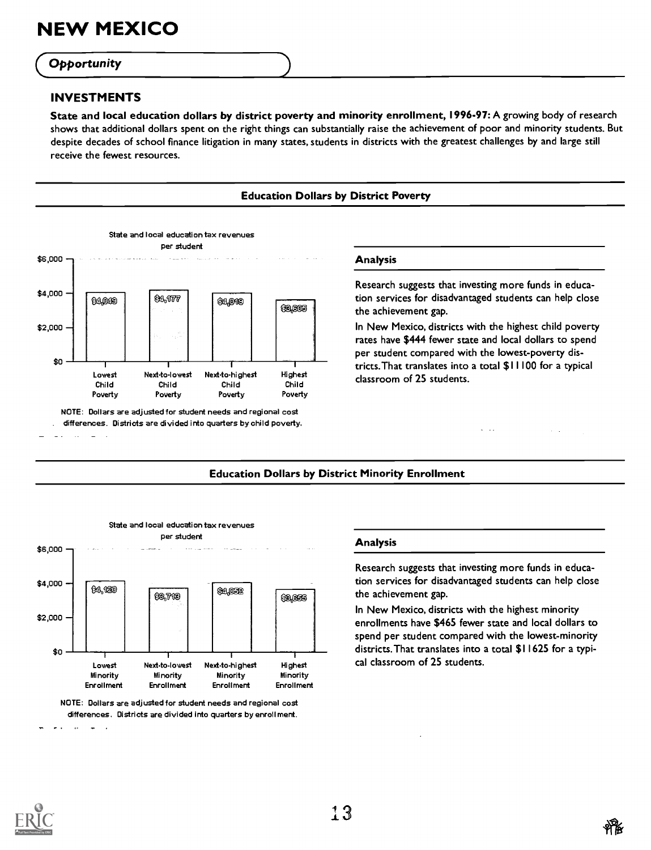### **Opportunity**

### INVESTMENTS

State and local education dollars by district poverty and minority enrollment, 1996-97: A growing body of research shows that additional dollars spent on the right things can substantially raise the achievement of poor and minority students. But despite decades of school finance litigation in many states, students in districts with the greatest challenges by and large still receive the fewest resources.





### Education Dollars by District Minority Enrollment



NOTE: Dollars are adjusted for student needs and regional cost differences. Districts are divided into quarters by enrollment.

### Analysis

Research suggests that investing more funds in education services for disadvantaged students can help close the achievement gap.

In New Mexico, districts with the highest minority enrollments have \$465 fewer state and local dollars to spend per student compared with the lowest-minority districts.That translates into a total \$11625 for a typical classroom of 25 students.



 $\ddot{\phantom{a}}$  $\sim$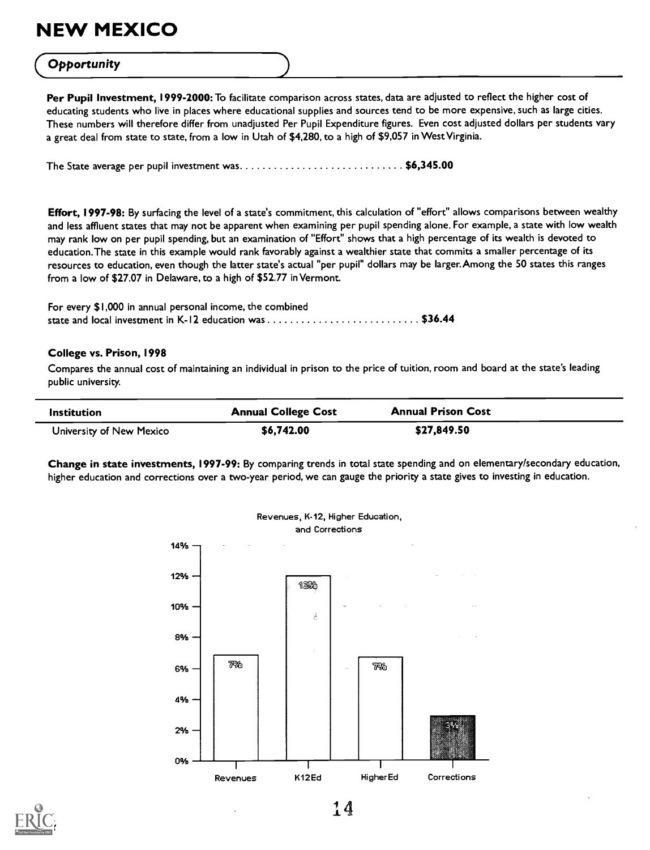# (Opportunity )

Per Pupil Investment, 1999-2000: To facilitate comparison across states, data are adjusted to reflect the higher cost of educating students who live in places where educational supplies and sources tend to be more expensive, such as large cities. These numbers will therefore differ from unadjusted Per Pupil Expenditure figures. Even cost adjusted dollars per students vary a great deal from state to state, from a low in Utah of \$4,280, to a high of \$9,057 in West Virginia.

The State average per pupil investment was.................................\$6,345.00

Effort, 1997-98: By surfacing the level of a state's commitment, this calculation of "effort" allows comparisons between wealthy and less affluent states that may not be apparent when examining per pupil spending alone. For example, a state with low wealth may rank low on per pupil spending, but an examination of "Effort" shows that a high percentage of its wealth is devoted to education.The state in this example would rank favorably against a wealthier state that commits a smaller percentage of its resources to education, even though the latter state's actual "per pupil" dollars may be larger.Among the 50 states this ranges from a low of \$27.07 in Delaware, to a high of \$52.77 in Vermont.

For every \$1,000 in annual personal income, the combined state and local investment in K-12 education was  $\dots\dots\dots\dots\dots\dots\dots\dots$  \$36.44

### College vs. Prison, 1998

Compares the annual cost of maintaining an individual in prison to the price of tuition, room and board at the state's leading public university.

| <b>Institution</b>       | <b>Annual College Cost</b> | <b>Annual Prison Cost</b> |  |
|--------------------------|----------------------------|---------------------------|--|
| University of New Mexico | \$6,742.00                 | \$27,849.50               |  |

Change in state investments, 1997-99: By comparing trends in total state spending and on elementary/secondary education, higher education and corrections over a two-year period, we can gauge the priority a state gives to investing in education.





 $14$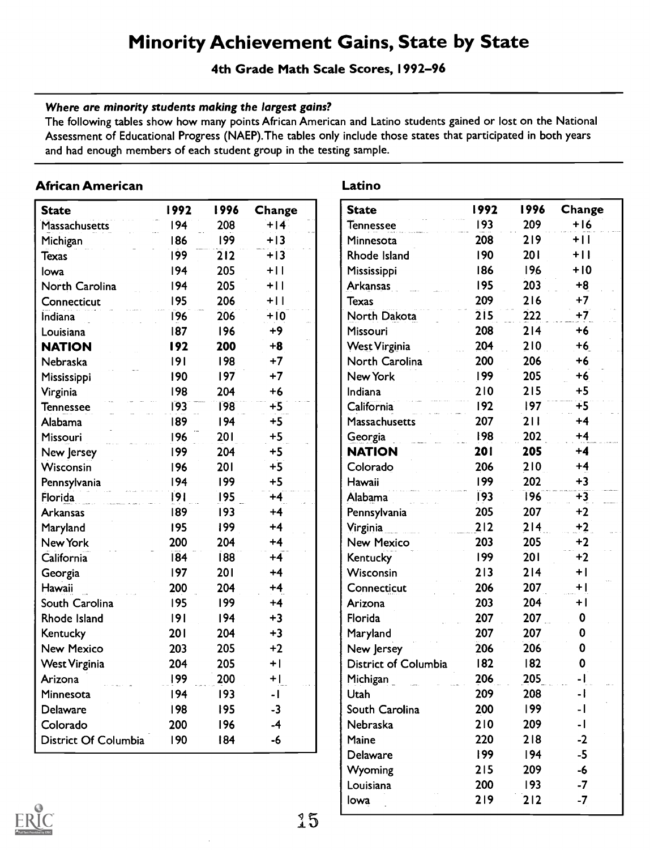### Minority Achievement Gains, State by State

4th Grade Math Scale Scores, 1992-96

### Where are minority students making the largest gains?

The following tables show how many points African American and Latino students gained or lost on the National Assessment of Educational Progress (NAEP).The tables only include those states that participated in both years and had enough members of each student group in the testing sample.

### African American

| <b>State</b>         | 1992 | 1996 | Change | S <sub>1</sub> |
|----------------------|------|------|--------|----------------|
| Massachusetts        | 194  | 208  | $+14$  | Te             |
| Michigan             | 186  | 199  | $+13$  | M              |
| <b>Texas</b>         | 199  | 212  | $+13$  | R              |
| lowa                 | 194  | 205  | $+11$  | M              |
| North Carolina       | 194  | 205  | $+11$  | A              |
| Connecticut          | 195  | 206  | $+11$  | T              |
| Indiana              | 196  | 206  | $+10$  | Ń              |
| Louisiana            | 187  | 196  | $+9$   | M              |
| <b>NATION</b>        | 192  | 200  | $+8$   | W              |
| Nebraska             | 9    | 198  | $+7$   | N              |
| Mississippi          | 190  | 197  | $+7$   | Ñ              |
| Virginia             | 198  | 204  | $+6$   | In             |
| <b>Tennessee</b>     | 193  | 198  | $+5$   | Ĉ              |
| Alabama              | 189  | 194  | $+5$   | M              |
| Missouri             | 196  | 201  | $+5$   | G              |
| New Jersey           | 199  | 204  | $+5$   | N              |
| Wisconsin            | 196  | 201  | $+5$   | Ć              |
| Pennsylvania         | 194  | 199  | $+5$   | H              |
| Florida              | 9    | 195  | $+4$   | Ä              |
| <b>Arkansas</b>      | 189  | 193  | $+4$   | Pe             |
| Maryland             | 195  | 199  | $+4$   | Vi             |
| New York             | 200  | 204  | $+4$   | N              |
| California           | 184  | 188  | $+4$   | K.             |
| Georgia              | 197  | 201  | $+4$   | N              |
| Hawaii               | 200  | 204  | $+4$   | C              |
| South Carolina       | 195  | 199  | $+4$   | A              |
| Rhode Island         | 9    | 194  | $+3$   | FI             |
| Kentucky             | 201  | 204  | $+3$   | M              |
| <b>New Mexico</b>    | 203  | 205  | $+2$   | N              |
| <b>West Virginia</b> | 204  | 205  | $+$    | D              |
| Arizona              | 199  | 200  | $+1$   | M              |
| Minnesota            | 194  | 193  | -1     | U              |
| Delaware             | 198  | 195  | $-3$   | Sc             |
| Colorado             | 200  | 196  | $-4$   | N              |
| District Of Columbia | 190  | 184  | $-6$   | M              |

### Latino

| <b>State</b>         | 1992       | 1996       | Change                   |
|----------------------|------------|------------|--------------------------|
| <b>Tennessee</b>     | 193        | 209        | $+16$                    |
| Minnesota            | 208        | 219        | $+11$                    |
| Rhode Island         | 190        | <b>201</b> | $+$ $ $                  |
| Mississippi          | 186        | 196        | $+10$                    |
| Arkansas             | 195        | 203        | $+8$                     |
| Texas                | 209        | 216        | $+7$                     |
| North Dakota         | 215        | 222        | $+7$                     |
| Missouri             | 208        | 214        | $+6$                     |
| <b>West Virginia</b> | 204        | 210        | $+6$                     |
| North Carolina       | 200        | 206        | $+6$                     |
| New York             | 199        | 205        | $+6$                     |
| Indiana              | 210        | 215        | $+5$                     |
| California           | 192        | 197        | ∓5                       |
| Massachusetts        | 207        | 211        | $+4$                     |
| Georgia              | 198        | 202        | $+4$                     |
| <b>NATION</b>        | <b>201</b> | 205        | $+4$                     |
| Colorado             | 206        | 210        | $+4$                     |
| Hawaii               | 199        | 202        | $+3$                     |
| Alabama              | 193        | 196        | $+3$                     |
| Pennsylvania         | 205        | 207        | $+2$                     |
| Virginia             | 212        | 214        | $+2$                     |
| <b>New Mexico</b>    | 203        | 205        | $+2$                     |
| Kentucky             | 199        | 201        | $+2$                     |
| Wisconsin            | 213        | 214        | $+ $                     |
| Connecticut          | 206        | 207        | $+ $                     |
| Arizona              | 203        | 204        | $+ $                     |
| Florida              | 207        | 207        | 0                        |
| Maryland             | 207        | 207        | 0                        |
| New Jersey           | 206        | 206        | 0                        |
| District of Columbia | 182        | 182        | 0                        |
| Michigan             | 206        | 205        | - 1                      |
| Utah                 | 209        | 208        | - 1                      |
| South Carolina       | 200        | 199        | $-1$                     |
| Nebraska             | 210        | 209        | $\overline{\phantom{a}}$ |
| Maine                | 220        | 218        | $-2$                     |
| Delaware             | 199        | 194        | $-5$                     |
| Wyoming              | 215        | 209        | -6                       |
| Louisiana            | 200        | 193        | $-7$                     |
| lowa                 | 219        | 212        | $-7$                     |
|                      |            |            |                          |

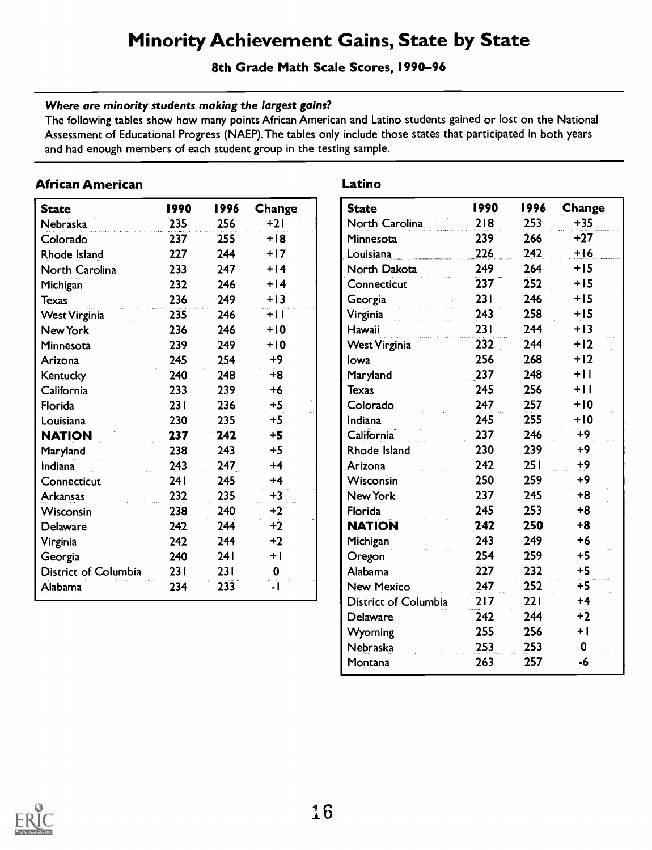### Minority Achievement Gains, State by State

8th Grade Math Scale Scores, 1990-96

### Where are minority students making the largest gains?

The following tables show how many points African American and Latino students gained or lost on the National Assessment of Educational Progress (NAEP).The tables only include those states that participated in both years and had enough members of each student group in the testing sample.

### African American

| <b>State</b>         | 1990 | 1996 | Change | S <sub>1</sub> |
|----------------------|------|------|--------|----------------|
| Nebraska             | 235  | 256  | +21    | N              |
| Colorado             | 237  | 255  | $+18$  | M              |
| Rhode Island         | 227  | 244  | $+17$  | Lc             |
| North Carolina       | 233  | 247  | $+14$  | N              |
| Michigan             | 232  | 246  | $+14$  | <b>C</b>       |
| <b>Texas</b>         | 236  | 249  | $+13$  | G              |
| <b>West Virginia</b> | 235  | 246  | $+11$  | Ϋi             |
| New York             | 236  | 246  | $+10$  | H              |
| Minnesota            | 239  | 249  | $+10$  | W              |
| Arizona              | 245  | 254  | $+9$   | lo             |
| Kentucky             | 240  | 248  | $+8$   | M              |
| California           | 233  | 239  | $+6$   | Te             |
| Florida              | 231  | 236  | $+5$   | <b>C</b>       |
| Louisiana            | 230  | 235  | $+5$   | In             |
| <b>NATION</b>        | 237  | 242  | $+5$   | C              |
| Maryland             | 238  | 243  | $+5$   | R <sub>l</sub> |
| Indiana              | 243  | 247  | $+4$   | Aı             |
| Connecticut          | 241  | 245  | $+4$   | W              |
| <b>Arkansas</b>      | 232  | 235  | $+3$   | N              |
| Wisconsin            | 238  | 240  | $+2$   | F <sub>0</sub> |
| <b>Delaware</b>      | 242  | 244  | $+2$   | N              |
| Virginia             | 242  | 244  | $+2$   | M              |
| Georgia              | 240  | 241  | $+ $   | O              |
| District of Columbia | 231  | 231  | 0      | Al             |
| Alabama              | 234  | 233  |        | N              |

### Latino

| <b>State</b>                | 1990 | 1996 | Change |
|-----------------------------|------|------|--------|
| North Carolina              | 218  | 253  | $+35$  |
| Minnesota                   | 239  | 266  | $+27$  |
| Louisiana                   | 226  | 242  | $+16$  |
| North Dakota                | 249  | 264  | $+15$  |
| Connecticut                 | 237  | 252  | $+15$  |
| Georgia                     | 231  | 246  | $+15$  |
| Virginia                    | 243  | 258  | $+15$  |
| Hawaii                      | 231  | 244  | $+13$  |
| <b>West Virginia</b>        | 232  | 244  | $+12$  |
| Iowa                        | 256  | 268  | $+12$  |
| Maryland                    | 237  | 248  | $+11$  |
| <b>Texas</b>                | 245  | 256  | $+11$  |
| Colorado                    | 247  | 257  | $+10$  |
| Indiana                     | 245  | 255  | $+10$  |
| California                  | 237  | 246  | +9     |
| Rhode Island                | 230  | 239  | $+9$   |
| Arizona                     | 242  | 251  | $+9$   |
| Wisconsin                   | 250  | 259  | $+9$   |
| New York                    | 237  | 245  | $+8$   |
| Florida                     | 245  | 253  | $+8$   |
| <b>NATION</b>               | 242  | 250  | $+8$   |
| Michigan                    | 243  | 249  | $+6$   |
| Oregon                      | 254  | 259  | $+5$   |
| Alabama                     | 227  | 232  | $+5$   |
| <b>New Mexico</b>           | 247  | 252  | $+5$   |
| <b>District of Columbia</b> | 217  | 221  | $+4$   |
| Delaware                    | 242  | 244  | $+2$   |
| Wyoming                     | 255  | 256  | $+ $   |
| Nebraska                    | 253  | 253  | 0      |
| Montana                     | 263  | 257  | -6     |

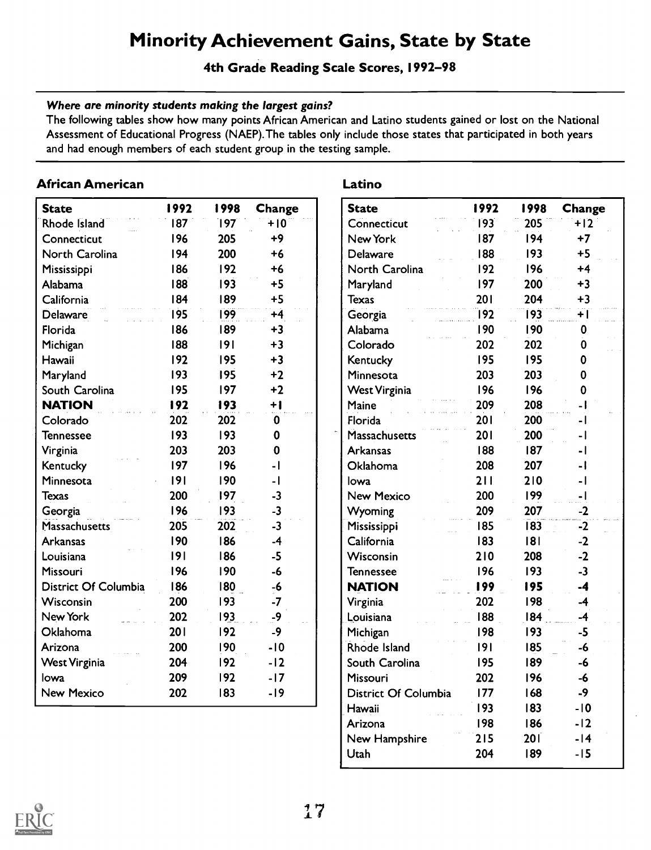### Minority Achievement Gains, State by State

### 4th Grade Reading Scale Scores, 1992-98

### Where are minority students making the largest gains?

The following tables show how many points African American and Latino students gained or lost on the National Assessment of Educational Progress (NAEP).The tables only include those states that participated in both years and had enough members of each student group in the testing sample.

### African American

| <b>State</b>                | 1992 | 1998 | Change                   | S <sub>1</sub> |
|-----------------------------|------|------|--------------------------|----------------|
| Rhode Island                | 87   | 197  | $+10$                    | <b>C</b>       |
| Connecticut                 | 196  | 205  | $+9$                     | N              |
| North Carolina              | 194  | 200  | $+6$                     | D              |
| Mississippi                 | 186  | 192  | $+6$                     | N              |
| Alabama                     | 188  | 193  | $+5$                     | M              |
| California                  | 184  | 189  | $+5$                     | Te             |
| <b>Delaware</b>             | 195  | 199  | $+4$                     | Ġ              |
| Florida                     | 186  | 189  | $+3$                     | Al             |
| Michigan                    | 188  | 9    | $+3$                     | C <sub>0</sub> |
| Hawaii                      | 192  | 195  | $+3$                     | Κ              |
| Maryland                    | 193  | 195  | $+2$                     | M              |
| South Carolina              | 195  | 197  | $+2$                     | W              |
| <b>NATION</b>               | 192  | 193  | $+1$                     | M              |
| Colorado                    | 202  | 202  | 0                        | Fk             |
| <b>Tennessee</b>            | 193  | 193  | 0                        | Ñ              |
| Virginia                    | 203  | 203  | $\mathbf 0$              | Ar             |
| Kentucky                    | 197  | 196  | $\overline{\phantom{a}}$ | O              |
| Minnesota                   | 9    | 190  | -1                       | lo             |
| <b>Texas</b>                | 200  | 197  | $-3$                     | N              |
| Georgia                     | 196  | 193  | $-3$                     | Ŵ              |
| Massachusetts               | 205  | 202  | $-3$                     | M              |
| <b>Arkansas</b>             | 190  | 186  | $-4$                     | C.             |
| Louisiana                   | 9    | 186  | $-5$                     | Ŵ              |
| <b>Missouri</b>             | 196  | 190  | $-6$                     | Te             |
| <b>District Of Columbia</b> | 186  | 180  | $-6$                     | N.             |
| Wisconsin                   | 200  | 193  | $-7$                     | Vi             |
| New York                    | 202  | 193  | -9                       | Lc             |
| Oklahoma                    | 201  | 192  | -9                       | Mi             |
| Arizona                     | 200  | 190  | $-10$                    | Ŕł             |
| <b>West Virginia</b>        | 204  | 192  | $-12$                    | Sc             |
| lowa                        | 209  | 192  | $-17$                    | Mi             |
| <b>New Mexico</b>           | 202  | 183  | -19                      | Di             |

### Latino

| <b>State</b>         | 1992 | 1998 | Change |
|----------------------|------|------|--------|
| Connecticut          | 193  | 205  | $+12$  |
| New York             | 187  | 194  | $+7$   |
| Delaware             | 188  | 193  | $+5$   |
| North Carolina       | 192  | 196  | $+4$   |
| Maryland             | 197  | 200  | $+3$   |
| <b>Texas</b>         | 201  | 204  | $+3$   |
| Georgia              | 192  | 193  | ŦÏ     |
| Alabama              | 190  | 190  | 0      |
| Colorado             | 202  | 202  | 0      |
| Kentucky             | 195  | 195  | 0      |
| Minnesota            | 203  | 203  | 0      |
| <b>West Virginia</b> | 196  | 196  | 0      |
| Maine                | 209  | 208  | - 1    |
| Florida              | 201  | 200  | - 1    |
| <b>Massachusetts</b> | 201  | 200  | ا -    |
| <b>Arkansas</b>      | 188  | 187  | - 1    |
| Oklahoma             | 208  | 207  | - 1    |
| Iowa                 | 211  | 210  | - 1    |
| <b>New Mexico</b>    | 200  | 199  | $-1$   |
| Wyoming              | 209  | 207  | $-2$   |
| Mississippi          | 185  | 183  | -2     |
| California           | 183  | 181  | $-2$   |
| Wisconsin            | 210  | 208  | $-2$   |
| Tennessee            | 196  | 193  | $-3$   |
| <b>NATION</b>        | 199  | 195  | -4     |
| Virginia             | 202  | 198  | $-4$   |
| Louisiana            | 188  | 184  | -4     |
| Michigan             | 198  | 193  | -5     |
| <b>Rhode Island</b>  | 191  | 185  | $-6$   |
| South Carolina       | 195  | 189  | -6     |
| Missouri             | 202  | 196  | -6     |
| District Of Columbia | 177  | 168  | -9     |
| Hawaii               | 193  | 183  | $-10$  |
| Arizona              | 198  | 186  | $-12$  |
| New Hampshire        | 215  | 201  | $-14$  |
| Utah                 | 204  | 189  | -15    |

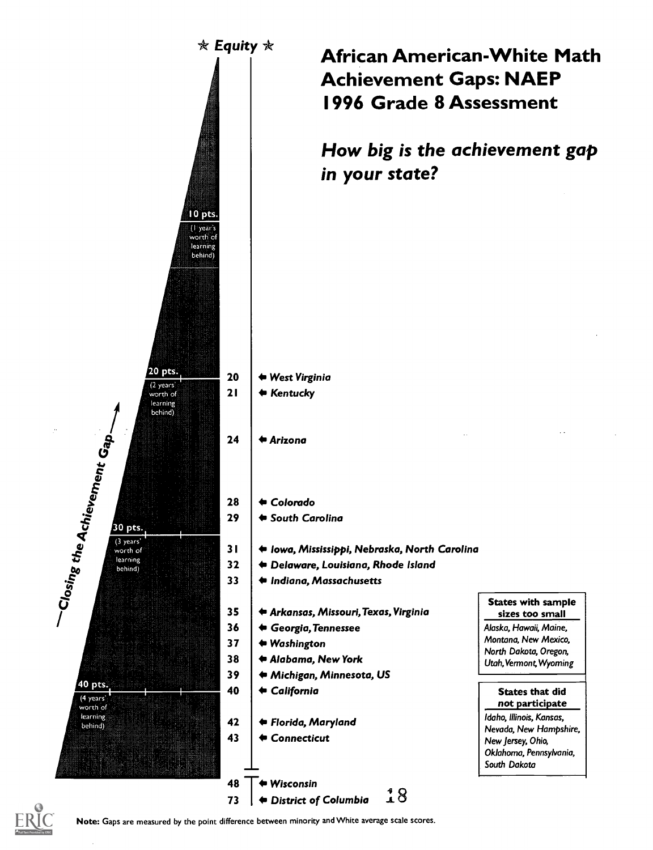

### African American-White Math Achievement Gaps: NAEP 1996 Grade 8 Assessment

How big is the achievement gap in your state?

- Iowa, Mississippi, Nebraska, North Carolina
- Delaware, Louisiana, Rhode Island
- Indiana, Massachusetts
- 35 Arkansas, Missouri,Texas, Virginia
- 39 Michigan, Minnesota, US

States with sample sizes too small Alaska, Hawaii, Maine, Montana, New Mexico, North Dakota, Oregon, Utah,Vermont,Wyoming

States that did not participate Idaho, Illinois, Kansas, Nevada, New Hampshire, New Jersey, Ohio, Oklahoma, Pennsylvania, South Dakota



Note: Gaps are measured by the point difference between minority and White average scale scores.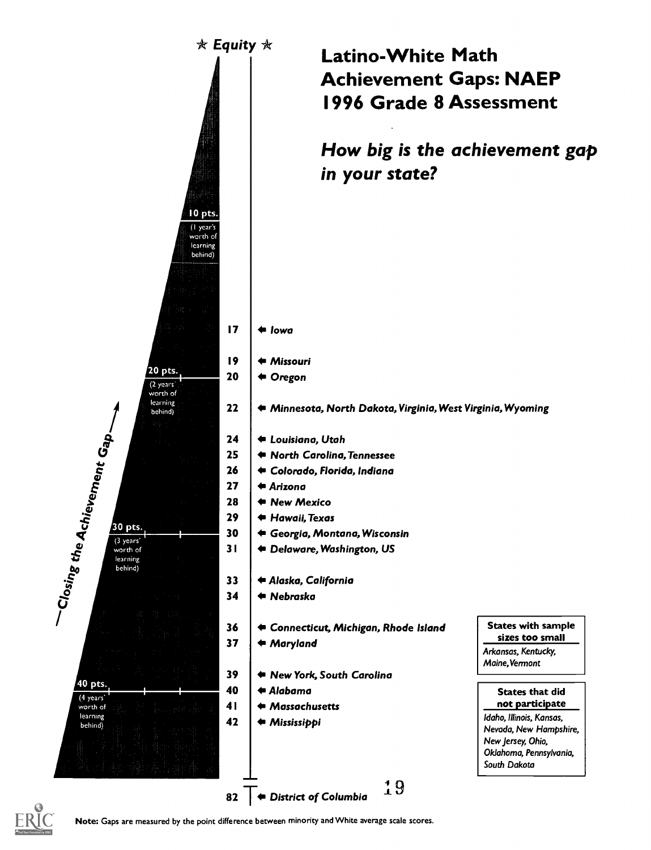

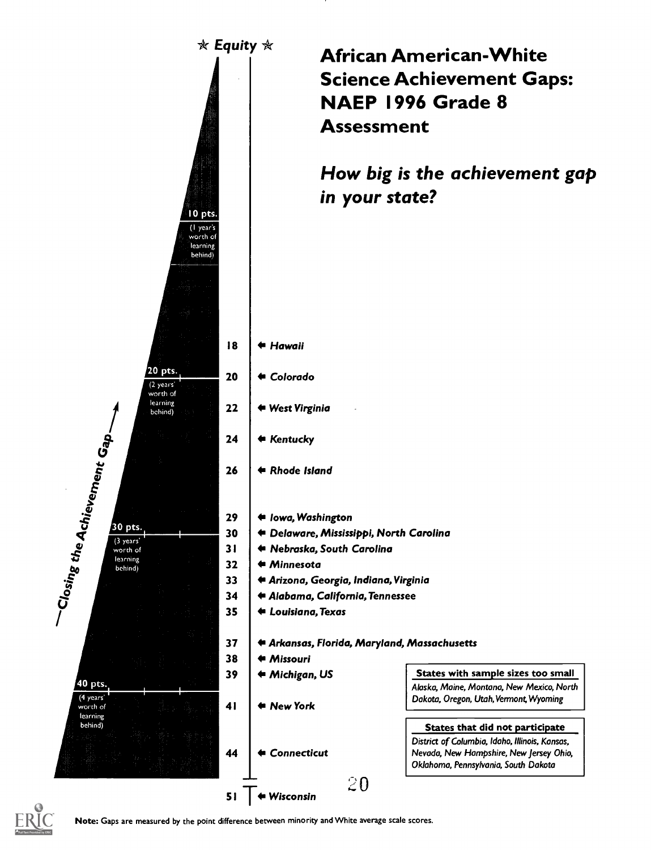

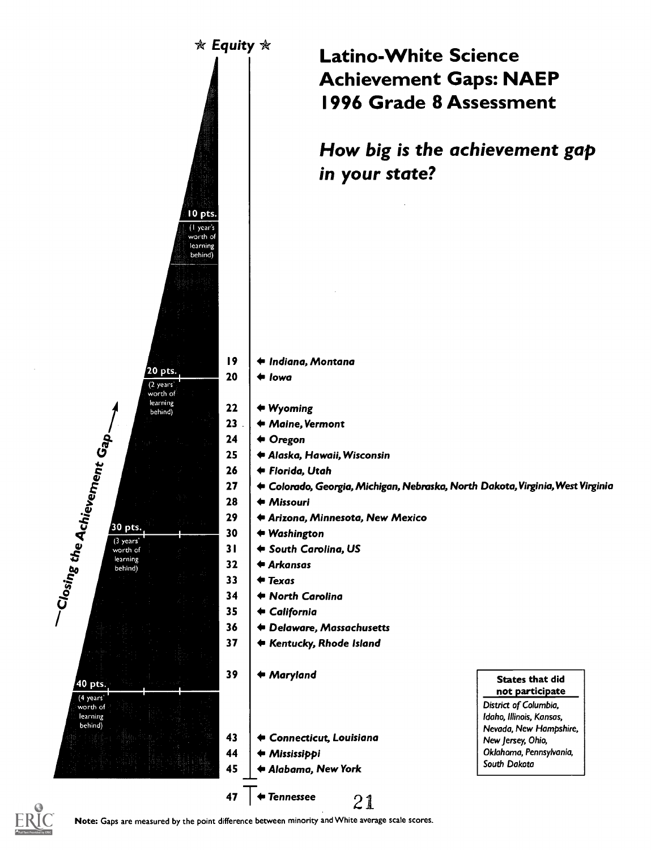

### Latino-White Science Achievement Gaps: NAEP 1996 Grade 8 Assessment

How big is the achievement gap in your state?

- I9 | ◆ Indiana, Montana
	-
	- Maine, Vermont
- 25 Alaska, Hawaii, Wisconsin
	-
- 27 | ⇔ Colorado, Georgia, Michigan, Nebraska, North Dakota, Virginia, West Virginia
- 29 | ◆ Arizona, Minnesota, New Mexico
	-
- 31 South Carolina, US
- 34 North Carolina
	-
- 36 Delaware, Massachusetts
- 37 | ← Kentucky, Rhode Island
	-
- 43 Connecticut, Louisiana
	-
- 45 Alabama, New York

States that did not participate District of Columbia, Idaho, Illinois, Kansas, Nevada, New Hampshire, New Jersey, Ohio, Oklahoma, Pennsylvania, South Dakota

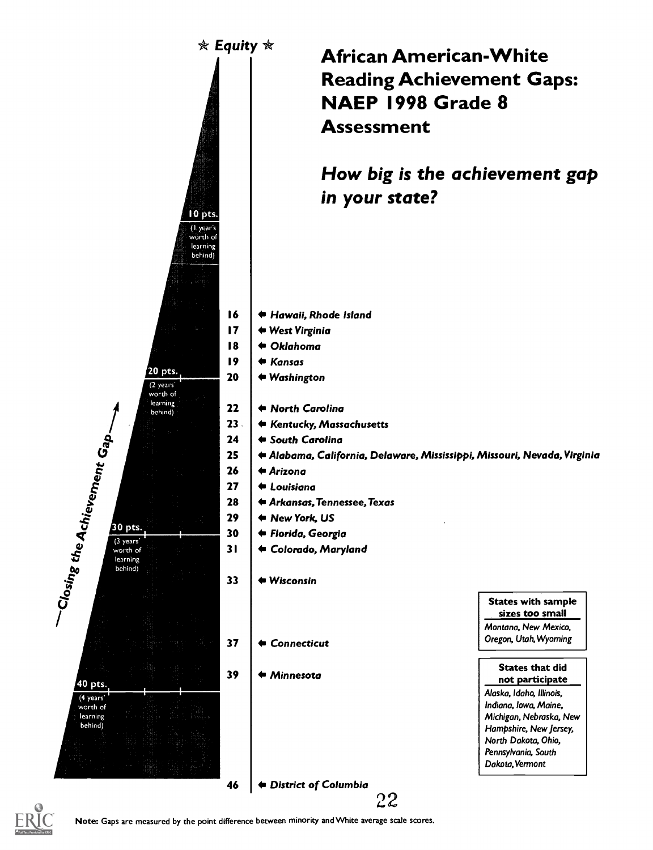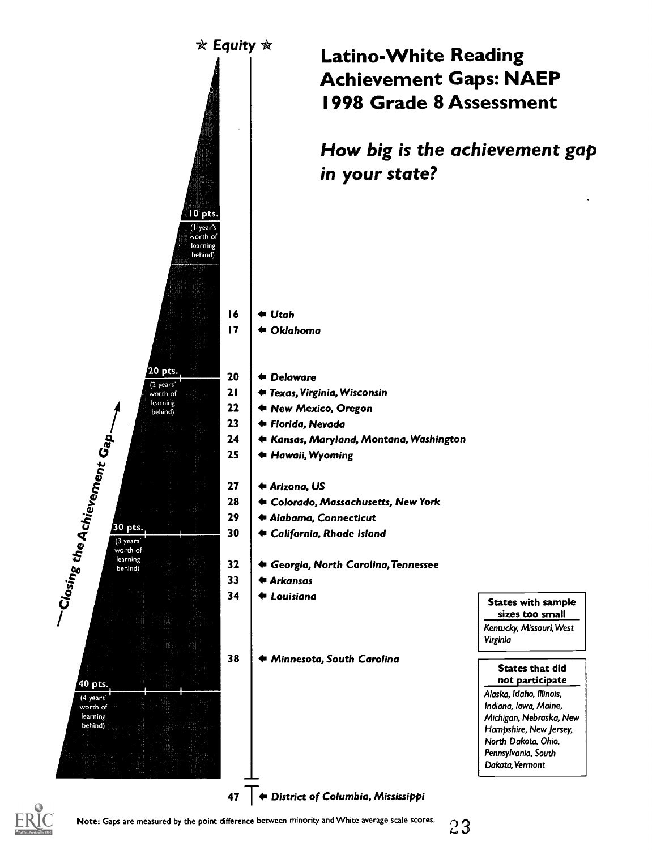

### Latino-White Reading Achievement Gaps: NAEP 1998 Grade 8 Assessment

How big is the achievement gap in your state?

- 21 Texas, Virginia, Wisconsin
	-
- 24 Kansas, Maryland, Montana, Washington
	- Hawaii, Wyoming
- 28 Colorado, Massachusetts, New York
- 29 Alabama, Connecticut
- 30 | ← California, Rhode Island
- 32 Georgia, North Carolina,Tennessee

38 Minnesota, South Carolina

States with sample sizes too small Kentucky, Missouri,West Virginia

States that did not participate Alaska, Idaho, Illinois, Indiana, Iowa, Maine, Michigan, Nebraska, New Hampshire, New Jersey, North Dakota, Ohio, Pennsylvania, South Dakota, Vermont

Note: Gaps are measured by the point difference between minority and White average scale scores.

23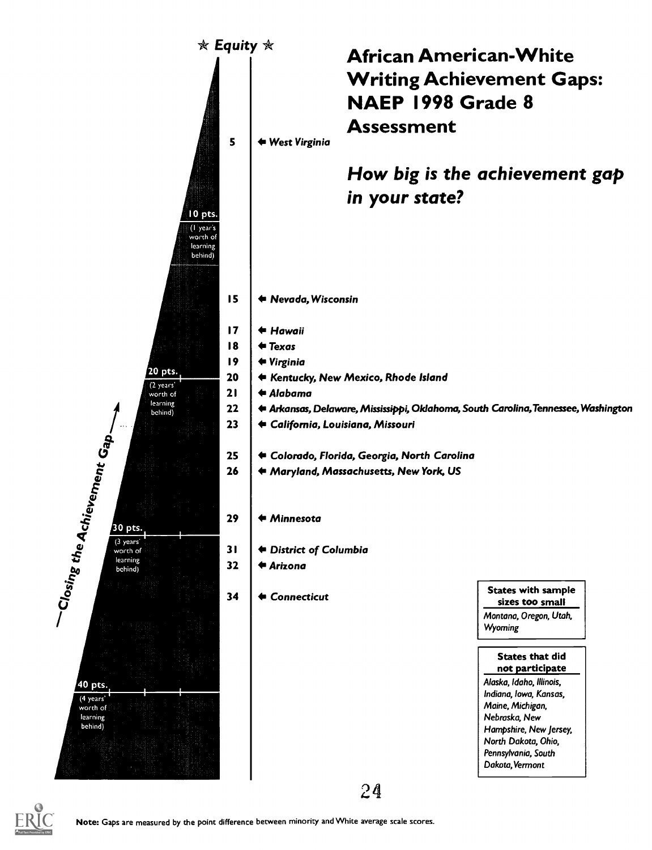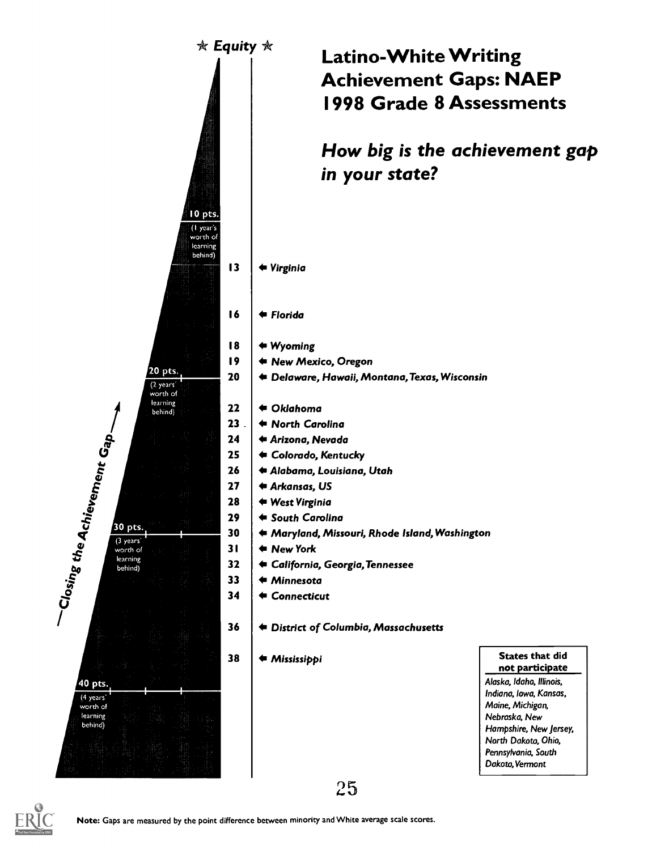

### Latino-White Writing Achievement Gaps: NAEP 1998 Grade 8 Assessments

How big is the achievement gap in your state?

- 13 | ← Virginia
- 16 4 Florida
- 18 4 Wyoming
- 19 4 New Mexico, Oregon
- 20 | ◆ Delaware, Hawaii, Montana, Texas, Wisconsin
	-
- 23 .  $\blacklozenge$   $\blacklozenge$  North Carolina
- 24 Arizona, Nevada
- 25 Colorado, Kentucky
- 26 Alabama, Louisiana, Utah
- 27 ↓ <del>+</del> Arkansas, US
- 28 West Virginia
- 29 | ← South Carolina
- $\frac{1}{1}$  .  $\frac{1}{1}$  .  $\frac{1}{1}$  . 30  $\frac{1}{1}$   $\leftarrow$  Maryland, Missouri, Rhode Island, Washington
	- New York
	- 32 California, Georgia,Tennessee
	- 33 ↓ ← Minnesota
	- 34 Connecticut
	- 36 District of Columbia, Massachusetts

38 | ← Mississippi

States that did not participate Alaska, Idaho, Illinois, Indiana, Iowa, Kansas, Maine, Michigan, Nebraska, New Hampshire, New Jersey, North Dakota, Ohio, Pennsylvania, South Dakota, Vermont



25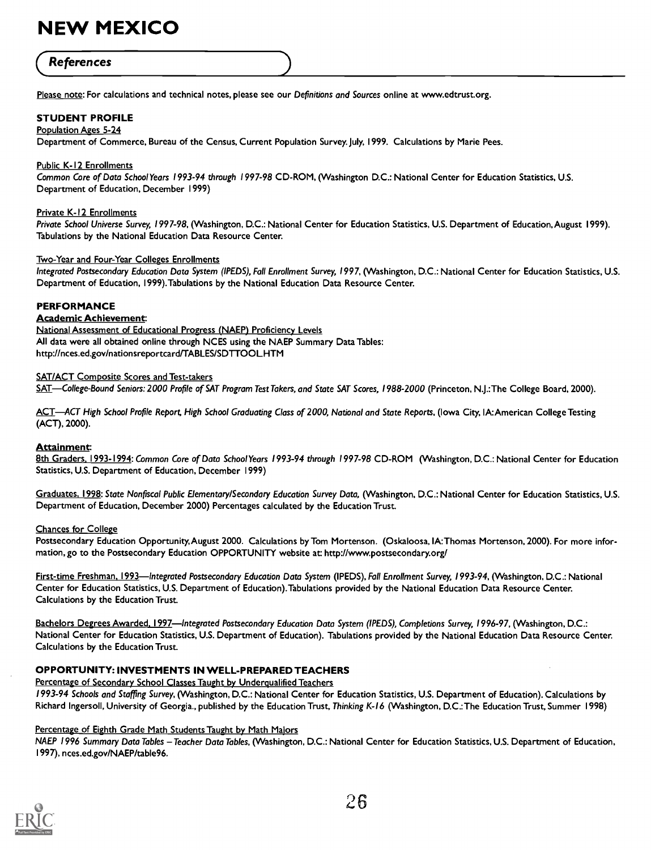## **(References** )

Please note: For calculations and technical notes, please see our Definitions and Sources online at www.edtrust.org.

### STUDENT PROFILE

### Population Ages 5-24

Department of Commerce, Bureau of the Census, Current Population Survey. July, 1999. Calculations by Marie Pees.

### Public K-I2 Enrollments

Common Core of Data School Years 1993-94 through 1997-98 CD-ROM, (Washington D.C.: National Center for Education Statistics, U.S. Department of Education, December 1999)

### Private K-I2 Enrollments

Private School Universe Survey, 1997-98, (Washington, D.C.: National Center for Education Statistics, U.S. Department of Education, August 1999). Tabulations by the National Education Data Resource Center.

#### Two-Year and Four-Year Colleges Enrollments

Integrated Postsecondary Education Data System (IPEDS), Fall Enrollment Survey, 1997, (Washington, D.C.: National Center for Education Statistics, U.S. Department of Education, 1999).Tabulations by the National Education Data Resource Center.

### PERFORMANCE

### Academic Achievement

National Assessment of Educational Progress (NAEP) Proficiency Levels All data were all obtained online through NCES using the NAEP Summary Data Tables: http://nces.ed.gov/nationsreportcard/TABLES/SDTTOOL.HTM

#### SAT/ACT Composite Scores and Test-takers

SAT—College-Bound Seniors: 2000 Profile of SAT Program Test Takers, and State SAT Scores, 1988-2000 (Princeton, N.J.:The College Board, 2000).

ACT-ACT High School Profile Report, High School Graduating Class of 2000, National and State Reports, (Iowa City, IA:American College Testing (ACT), 2000).

### Attainment:

8th Graders, 1993-1994: Common Core of Data School Years 1993-94 through 1997-98 CD-ROM (Washington, D.C.: National Center for Education Statistics, U.S. Department of Education, December 1999)

Graduates. 1998: State Nonfiscal Public Elementary/Secondary Education Survey Data, (Washington, D.C.: National Center for Education Statistics, U.S. Department of Education, December 2000) Percentages calculated by the Education Trust.

#### Chances for College

Postsecondary Education Opportunity,August 2000. Calculations by Tom Mortenson. (Oskaloosa,1A:Thomas Mortenson, 2000). For more information, go to the Postsecondary Education OPPORTUNITY website at: http://www.postsecondary.org/

First-time Freshman, 1993—Integrated Postsecondary Education Data System (IPEDS), Fall Enrollment Survey, 1993-94, (Washington, D.C.: National Center for Education Statistics, U.S. Department of Education).Tabulations provided by the National Education Data Resource Center. Calculations by the Education Trust.

Bachelors Degrees Awarded, 1997—Integrated Postsecondary Education Data System (IPEDS), Completions Survey, 1996-97, (Washington, D.C.: National Center for Education Statistics, U.S. Department of Education). Tabulations provided by the National Education Data Resource Center. Calculations by the Education Trust.

### OPPORTUNITY: INVESTMENTS IN WELL-PREPARED TEACHERS

Percentage of Secondary School Classes Taught by Underqualified Teachers 1993-94 Schools and Staffing Survey, (Washington, D.C.: National Center for Education Statistics, U.S. Department of Education). Calculations by Richard Ingersoll, University of Georgia., published by the Education Trust, Thinking K-16 (Washington, D.C.:The Education Trust, Summer 1998)

### Percentage of Eighth Grade Math Students Taught by Math Majors

NAEP 1996 Summary Data Tables - Teacher Data Tables, (Washington, D.C.: National Center for Education Statistics, U.S. Department of Education, 1997), nces.ed.gov/NAEP/table96.

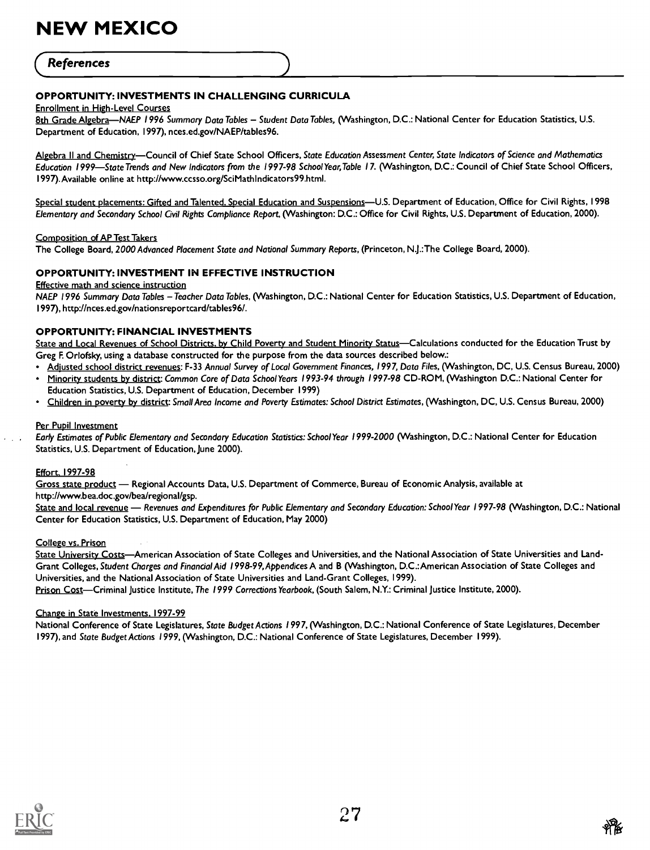### **References**

### OPPORTUNITY: INVESTMENTS IN CHALLENGING CURRICULA

#### Enrollment in High-Level Courses

8th Grade Algebra-NAEP 1996 Summary Data Tables - Student Data Tables, (Washington, D.C.: National Center for Education Statistics, U.S. Department of Education, 1997), nces.ed.gov/NAEP/tables96.

Algebra II and Chemistry-Council of Chief State School Officers, State Education Assessment Center, State Indicators of Science and Mathematics Education 1999-State Trends and New Indicators from the 1997-98 School Year, Table 17. (Washington, D.C.: Council of Chief State School Officers, I 997).Available online at http://www.ccsso.org/SciMathIndicators99.html.

Special student placements: Gifted and Talented. Special Education and Suspensions-U.S. Department of Education, Office for Civil Rights, 1998 Elementary and Secondary School Civil Rights Compliance Report, (Washington: D.C.: Office for Civil Rights, U.S. Department of Education, 2000).

#### Composition of AP Test Takers

The College Board, 2000 Advanced Placement State and National Summary Reports, (Princeton, N.J.:The College Board, 2000).

### OPPORTUNITY: INVESTMENT IN EFFECTIVE INSTRUCTION

Effective math and science instruction

NAEP 1996 Summary Data Tables - Teacher Data Tables, (Washington, D.C.: National Center for Education Statistics, U.S. Department of Education, 1997), http://nces.ed.gov/nationsreportcard/tables96/.

### OPPORTUNITY: FINANCIAL INVESTMENTS

State and Local Revenues of School Districts, by Child Poverty and Student Minority Status-Calculations conducted for the Education Trust by Greg F. Orlofsky, using a database constructed for the purpose from the data sources described below.:

- Adjusted school district revenues: F-33 Annual Survey of Local Government Finances, 1997, Data Files, (Washington, DC, U.S. Census Bureau, 2000)
- Minority students by district: Common Core of Data School Years 1993-94 through 1997-98 CD-ROM, (Washington D.C.: National Center for Education Statistics, U.S. Department of Education, December 1999)
- Children in poverty by district: Small Area Income and Poverty Estimates: School District Estimates, (Washington, DC, U.S. Census Bureau, 2000)

### Per Pupil Investment

Early Estimates of Public Elementary and Secondary Education Statistics: School Year 1999-2000 (Washington, D.C.: National Center for Education Statistics, U.S. Department of Education, lune 2000).

#### Effort. 1997-98

Gross state product - Regional Accounts Data, U.S. Department of Commerce, Bureau of Economic Analysis, available at http://www.bea.doc.gov/bea/regional/gsp.

State and local revenue - Revenues and Expenditures for Public Elementary and Secondary Education: School Year 1997-98 (Washington, D.C.: National Center for Education Statistics, U.S. Department of Education, May 2000)

### College vs. Prison

State University Costs—American Association of State Colleges and Universities, and the National Association of State Universities and Land-Grant Colleges, Student Charges and Financial Aid 1998-99,Appendices A and B (Washington, D.C.:American Association of State Colleges and Universities, and the National Association of State Universities and Land-Grant Colleges, 1999). Prison Cost-Criminal Justice Institute, The 1999 Corrections Yearbook, (South Salem, N.Y.: Criminal Justice Institute, 2000).

### Change in State Investments. 1997-99

National Conference of State Legislatures, State Budget Actions 1997, (Washington, D.C.: National Conference of State Legislatures, December 1997), and State Budget Actions 1999, (Washington, D.C.: National Conference of State Legislatures, December I 999).